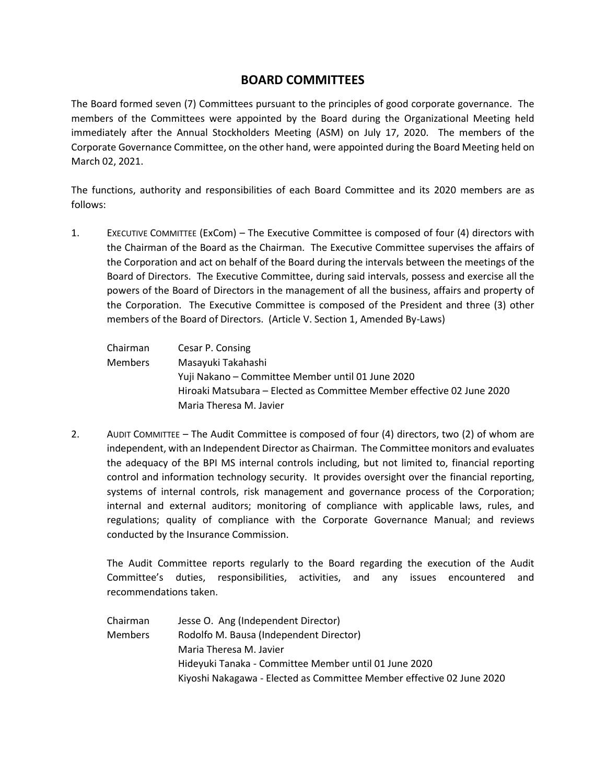# **BOARD COMMITTEES**

The Board formed seven (7) Committees pursuant to the principles of good corporate governance. The members of the Committees were appointed by the Board during the Organizational Meeting held immediately after the Annual Stockholders Meeting (ASM) on July 17, 2020. The members of the Corporate Governance Committee, on the other hand, were appointed during the Board Meeting held on March 02, 2021.

The functions, authority and responsibilities of each Board Committee and its 2020 members are as follows:

1. EXECUTIVE COMMITTEE (ExCom) – The Executive Committee is composed of four (4) directors with the Chairman of the Board as the Chairman. The Executive Committee supervises the affairs of the Corporation and act on behalf of the Board during the intervals between the meetings of the Board of Directors. The Executive Committee, during said intervals, possess and exercise all the powers of the Board of Directors in the management of all the business, affairs and property of the Corporation. The Executive Committee is composed of the President and three (3) other members of the Board of Directors. (Article V. Section 1, Amended By-Laws)

| Chairman | Cesar P. Consing                                                       |
|----------|------------------------------------------------------------------------|
| Members  | Masayuki Takahashi                                                     |
|          | Yuji Nakano – Committee Member until 01 June 2020                      |
|          | Hiroaki Matsubara – Elected as Committee Member effective 02 June 2020 |
|          | Maria Theresa M. Javier                                                |

2. AUDIT COMMITTEE – The Audit Committee is composed of four (4) directors, two (2) of whom are independent, with an Independent Director as Chairman. The Committee monitors and evaluates the adequacy of the BPI MS internal controls including, but not limited to, financial reporting control and information technology security. It provides oversight over the financial reporting, systems of internal controls, risk management and governance process of the Corporation; internal and external auditors; monitoring of compliance with applicable laws, rules, and regulations; quality of compliance with the Corporate Governance Manual; and reviews conducted by the Insurance Commission.

The Audit Committee reports regularly to the Board regarding the execution of the Audit Committee's duties, responsibilities, activities, and any issues encountered and recommendations taken.

Chairman Jesse O. Ang (Independent Director) Members Rodolfo M. Bausa (Independent Director) Maria Theresa M. Javier Hideyuki Tanaka - Committee Member until 01 June 2020 Kiyoshi Nakagawa - Elected as Committee Member effective 02 June 2020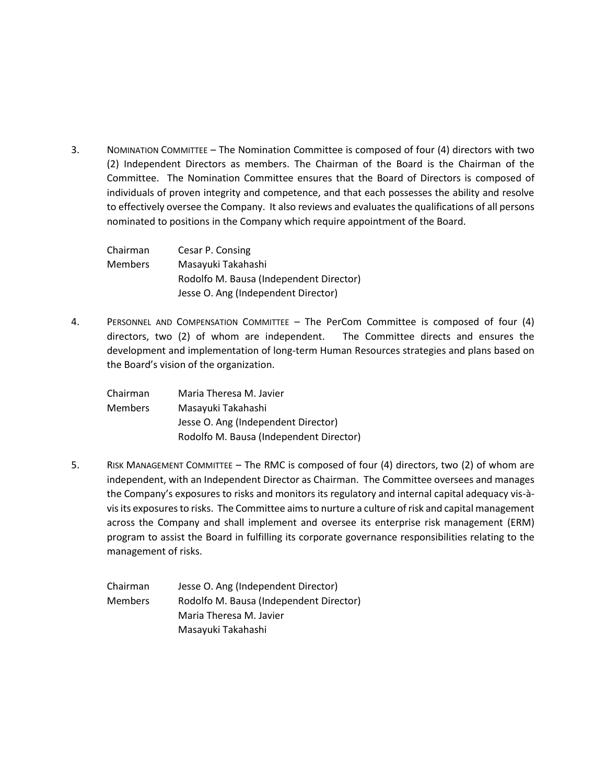3. NOMINATION COMMITTEE – The Nomination Committee is composed of four (4) directors with two (2) Independent Directors as members. The Chairman of the Board is the Chairman of the Committee. The Nomination Committee ensures that the Board of Directors is composed of individuals of proven integrity and competence, and that each possesses the ability and resolve to effectively oversee the Company. It also reviews and evaluates the qualifications of all persons nominated to positions in the Company which require appointment of the Board.

| Chairman | Cesar P. Consing                        |
|----------|-----------------------------------------|
| Members  | Masayuki Takahashi                      |
|          | Rodolfo M. Bausa (Independent Director) |
|          | Jesse O. Ang (Independent Director)     |

4. PERSONNEL AND COMPENSATION COMMITTEE – The PerCom Committee is composed of four (4) directors, two (2) of whom are independent. The Committee directs and ensures the development and implementation of long-term Human Resources strategies and plans based on the Board's vision of the organization.

| Chairman | Maria Theresa M. Javier                 |
|----------|-----------------------------------------|
| Members  | Masayuki Takahashi                      |
|          | Jesse O. Ang (Independent Director)     |
|          | Rodolfo M. Bausa (Independent Director) |

- 5. RISK MANAGEMENT COMMITTEE The RMC is composed of four (4) directors, two (2) of whom are independent, with an Independent Director as Chairman. The Committee oversees and manages the Company's exposures to risks and monitors its regulatory and internal capital adequacy vis-àvis its exposures to risks. The Committee aims to nurture a culture of risk and capital management across the Company and shall implement and oversee its enterprise risk management (ERM) program to assist the Board in fulfilling its corporate governance responsibilities relating to the management of risks.
	- Chairman Jesse O. Ang (Independent Director) Members Rodolfo M. Bausa (Independent Director) Maria Theresa M. Javier Masayuki Takahashi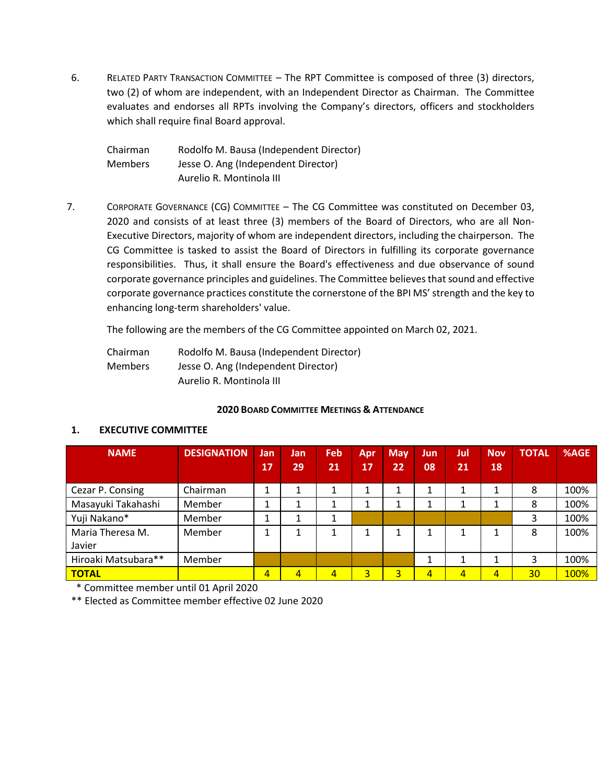6. RELATED PARTY TRANSACTION COMMITTEE – The RPT Committee is composed of three (3) directors, two (2) of whom are independent, with an Independent Director as Chairman. The Committee evaluates and endorses all RPTs involving the Company's directors, officers and stockholders which shall require final Board approval.

| Chairman       | Rodolfo M. Bausa (Independent Director) |
|----------------|-----------------------------------------|
| <b>Members</b> | Jesse O. Ang (Independent Director)     |
|                | Aurelio R. Montinola III                |

7. CORPORATE GOVERNANCE (CG) COMMITTEE – The CG Committee was constituted on December 03, 2020 and consists of at least three (3) members of the Board of Directors, who are all Non-Executive Directors, majority of whom are independent directors, including the chairperson. The CG Committee is tasked to assist the Board of Directors in fulfilling its corporate governance responsibilities. Thus, it shall ensure the Board's effectiveness and due observance of sound corporate governance principles and guidelines. The Committee believes that sound and effective corporate governance practices constitute the cornerstone of the BPI MS' strength and the key to enhancing long-term shareholders' value.

The following are the members of the CG Committee appointed on March 02, 2021.

| Chairman       | Rodolfo M. Bausa (Independent Director) |
|----------------|-----------------------------------------|
| <b>Members</b> | Jesse O. Ang (Independent Director)     |
|                | Aurelio R. Montinola III                |

#### **2020 BOARD COMMITTEE MEETINGS & ATTENDANCE**

### **1. EXECUTIVE COMMITTEE**

| <b>NAME</b>         | <b>DESIGNATION</b> | Jan | Jan            | Feb            | Apr     | <b>May</b> | Jun, | Jul | <b>Nov</b>     | <b>TOTAL</b>    | %AGE |
|---------------------|--------------------|-----|----------------|----------------|---------|------------|------|-----|----------------|-----------------|------|
|                     |                    | 17  | 29             | 21             | 17      | 22         | 08   | 21  | 18             |                 |      |
| Cezar P. Consing    | Chairman           | 1   |                |                | 1       |            |      | 1   |                | 8               | 100% |
| Masayuki Takahashi  | Member             | Ŧ.  |                |                | 1<br>Ŧ. |            | Ŧ.   | 1   |                | 8               | 100% |
| Yuji Nakano*        | Member             | ┻   |                |                |         |            |      |     |                | 3               | 100% |
| Maria Theresa M.    | Member             | ┻   | 1              |                | 1       |            |      | 1   |                | 8               | 100% |
| Javier              |                    |     |                |                |         |            |      |     |                |                 |      |
| Hiroaki Matsubara** | Member             |     |                |                |         |            |      |     |                | 3               | 100% |
| <b>TOTAL</b>        |                    | 4   | $\overline{4}$ | $\overline{4}$ | 3       | 3          | 4    | 4   | $\overline{4}$ | 30 <sup>°</sup> | 100% |

\* Committee member until 01 April 2020

\*\* Elected as Committee member effective 02 June 2020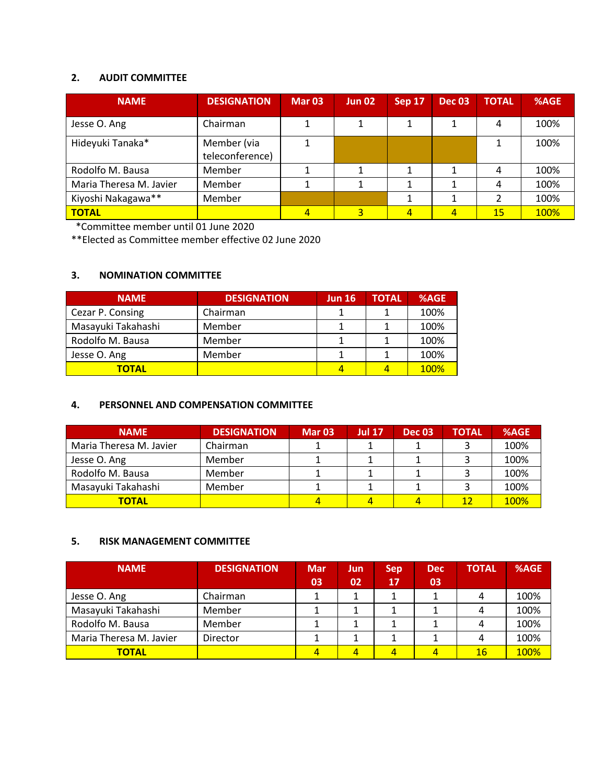# **2. AUDIT COMMITTEE**

| <b>NAME</b>             | <b>DESIGNATION</b>             | <b>Mar 03</b> | <b>Jun 02</b> | Sep 17 | <b>Dec 03</b> | <b>TOTAL</b> | %AGE |
|-------------------------|--------------------------------|---------------|---------------|--------|---------------|--------------|------|
| Jesse O. Ang            | Chairman                       |               |               |        |               | 4            | 100% |
| Hideyuki Tanaka*        | Member (via<br>teleconference) |               |               |        |               |              | 100% |
| Rodolfo M. Bausa        | Member                         |               |               |        |               | 4            | 100% |
| Maria Theresa M. Javier | Member                         |               |               |        |               | 4            | 100% |
| Kiyoshi Nakagawa**      | Member                         |               |               |        |               |              | 100% |
| <b>TOTAL</b>            |                                |               |               | 4      | 4             | 15           | 100% |

\*Committee member until 01 June 2020

\*\*Elected as Committee member effective 02 June 2020

### **3. NOMINATION COMMITTEE**

| <b>NAME</b>        | <b>DESIGNATION</b> | <b>Jun 16</b> | TOTAL | %AGE |
|--------------------|--------------------|---------------|-------|------|
| Cezar P. Consing   | Chairman           |               |       | 100% |
| Masayuki Takahashi | Member             |               |       | 100% |
| Rodolfo M. Bausa   | Member             |               |       | 100% |
| Jesse O. Ang       | Member             |               |       | 100% |
| <b>TOTAL</b>       |                    |               |       | 100% |

## **4. PERSONNEL AND COMPENSATION COMMITTEE**

| <b>NAME</b>             | <b>DESIGNATION</b> | <b>Mar 03</b> | <b>Jul 17</b> | <b>Dec 03</b> | <b>TOTAL</b> | %AGE        |
|-------------------------|--------------------|---------------|---------------|---------------|--------------|-------------|
| Maria Theresa M. Javier | Chairman           |               |               |               |              | 100%        |
| Jesse O. Ang            | Member             |               |               |               |              | 100%        |
| Rodolfo M. Bausa        | Member             |               |               |               |              | 100%        |
| Masayuki Takahashi      | Member             |               |               |               |              | 100%        |
| <b>TOTAL</b>            |                    |               |               |               | 12           | <b>100%</b> |

### **5. RISK MANAGEMENT COMMITTEE**

| <b>NAME</b>             | <b>DESIGNATION</b> | Mar<br>03 | Jun<br>02 | <b>Sep</b><br>17 | <b>Dec</b><br>03 | <b>TOTAL</b> | %AGE |
|-------------------------|--------------------|-----------|-----------|------------------|------------------|--------------|------|
| Jesse O. Ang            | Chairman           |           |           |                  |                  | 4            | 100% |
| Masayuki Takahashi      | Member             |           |           |                  |                  | 4            | 100% |
| Rodolfo M. Bausa        | Member             |           |           |                  |                  | 4            | 100% |
| Maria Theresa M. Javier | Director           |           |           |                  |                  | 4            | 100% |
| <b>TOTAL</b>            |                    |           | 4         | 4                | Δ                | 16           | 100% |